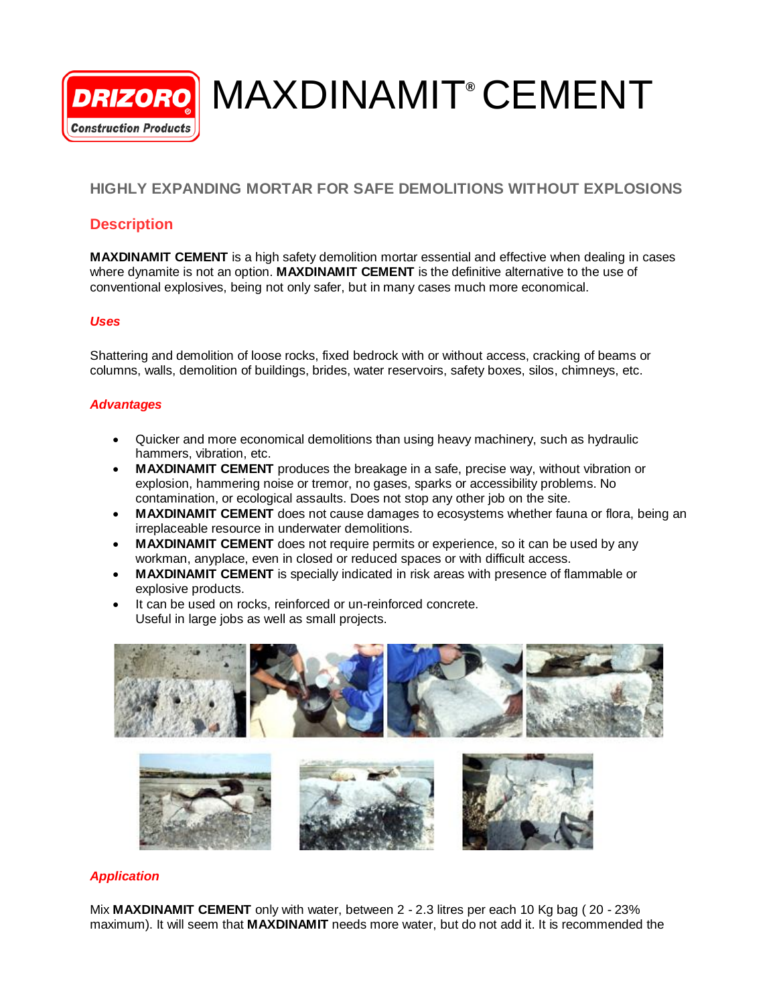MAXDINAMIT**®** CEMENT **DRIZORO Construction Products** 

# **HIGHLY EXPANDING MORTAR FOR SAFE DEMOLITIONS WITHOUT EXPLOSIONS**

## **Description**

**MAXDINAMIT CEMENT** is a high safety demolition mortar essential and effective when dealing in cases where dynamite is not an option. **MAXDINAMIT CEMENT** is the definitive alternative to the use of conventional explosives, being not only safer, but in many cases much more economical.

### *Uses*

Shattering and demolition of loose rocks, fixed bedrock with or without access, cracking of beams or columns, walls, demolition of buildings, brides, water reservoirs, safety boxes, silos, chimneys, etc.

### *Advantages*

- Quicker and more economical demolitions than using heavy machinery, such as hydraulic hammers, vibration, etc.
- **MAXDINAMIT CEMENT** produces the breakage in a safe, precise way, without vibration or explosion, hammering noise or tremor, no gases, sparks or accessibility problems. No contamination, or ecological assaults. Does not stop any other job on the site.
- **MAXDINAMIT CEMENT** does not cause damages to ecosystems whether fauna or flora, being an irreplaceable resource in underwater demolitions.
- **MAXDINAMIT CEMENT** does not require permits or experience, so it can be used by any workman, anyplace, even in closed or reduced spaces or with difficult access.
- **MAXDINAMIT CEMENT** is specially indicated in risk areas with presence of flammable or explosive products.
- It can be used on rocks, reinforced or un-reinforced concrete. Useful in large jobs as well as small projects.



### *Application*

Mix **MAXDINAMIT CEMENT** only with water, between 2 - 2.3 litres per each 10 Kg bag ( 20 - 23% maximum). It will seem that **MAXDINAMIT** needs more water, but do not add it. It is recommended the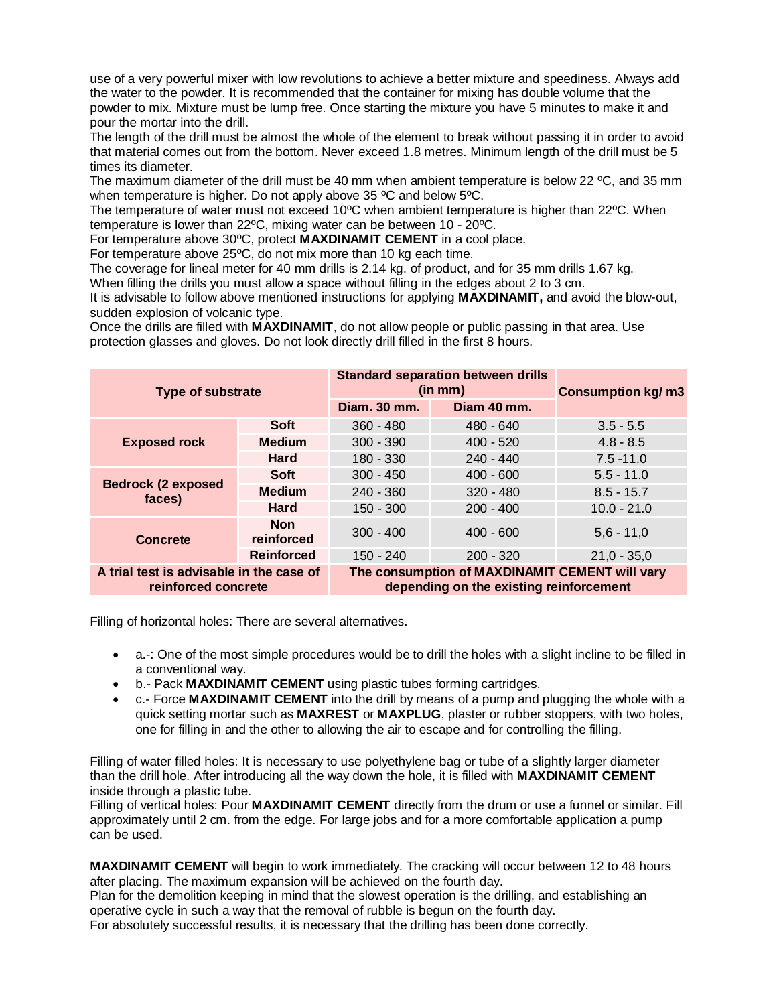use of a very powerful mixer with low revolutions to achieve a better mixture and speediness. Always add the water to the powder. It is recommended that the container for mixing has double volume that the powder to mix. Mixture must be lump free. Once starting the mixture you have 5 minutes to make it and pour the mortar into the drill.

The length of the drill must be almost the whole of the element to break without passing it in order to avoid that material comes out from the bottom. Never exceed 1.8 metres. Minimum length of the drill must be 5 times its diameter.

The maximum diameter of the drill must be 40 mm when ambient temperature is below 22 °C, and 35 mm when temperature is higher. Do not apply above 35 ºC and below 5ºC.

The temperature of water must not exceed 10ºC when ambient temperature is higher than 22ºC. When temperature is lower than 22ºC, mixing water can be between 10 - 20ºC.

For temperature above 30ºC, protect **MAXDINAMIT CEMENT** in a cool place.

For temperature above 25ºC, do not mix more than 10 kg each time.

The coverage for lineal meter for 40 mm drills is 2.14 kg. of product, and for 35 mm drills 1.67 kg.

When filling the drills you must allow a space without filling in the edges about 2 to 3 cm.

It is advisable to follow above mentioned instructions for applying **MAXDINAMIT,** and avoid the blow-out, sudden explosion of volcanic type.

Once the drills are filled with **MAXDINAMIT**, do not allow people or public passing in that area. Use protection glasses and gloves. Do not look directly drill filled in the first 8 hours.

| <b>Type of substrate</b>                                        |                          | <b>Standard separation between drills</b><br>(in mm)                                      |             | <b>Consumption kg/m3</b> |
|-----------------------------------------------------------------|--------------------------|-------------------------------------------------------------------------------------------|-------------|--------------------------|
|                                                                 |                          | Diam. 30 mm.                                                                              | Diam 40 mm. |                          |
| <b>Exposed rock</b>                                             | <b>Soft</b>              | $360 - 480$                                                                               | $480 - 640$ | $3.5 - 5.5$              |
|                                                                 | <b>Medium</b>            | $300 - 390$                                                                               | $400 - 520$ | $4.8 - 8.5$              |
|                                                                 | <b>Hard</b>              | $180 - 330$                                                                               | $240 - 440$ | $7.5 - 11.0$             |
| <b>Bedrock (2 exposed</b><br>faces)                             | <b>Soft</b>              | $300 - 450$                                                                               | $400 - 600$ | $5.5 - 11.0$             |
|                                                                 | <b>Medium</b>            | $240 - 360$                                                                               | $320 - 480$ | $8.5 - 15.7$             |
|                                                                 | Hard                     | $150 - 300$                                                                               | $200 - 400$ | $10.0 - 21.0$            |
| <b>Concrete</b>                                                 | <b>Non</b><br>reinforced | $300 - 400$                                                                               | $400 - 600$ | $5,6 - 11,0$             |
|                                                                 | <b>Reinforced</b>        | $150 - 240$                                                                               | $200 - 320$ | $21,0 - 35,0$            |
| A trial test is advisable in the case of<br>reinforced concrete |                          | The consumption of MAXDINAMIT CEMENT will vary<br>depending on the existing reinforcement |             |                          |

Filling of horizontal holes: There are several alternatives.

- a.-: One of the most simple procedures would be to drill the holes with a slight incline to be filled in a conventional way.
- b.- Pack **MAXDINAMIT CEMENT** using plastic tubes forming cartridges.
- c.- Force **MAXDINAMIT CEMENT** into the drill by means of a pump and plugging the whole with a quick setting mortar such as **MAXREST** or **MAXPLUG**, plaster or rubber stoppers, with two holes, one for filling in and the other to allowing the air to escape and for controlling the filling.

Filling of water filled holes: It is necessary to use polyethylene bag or tube of a slightly larger diameter than the drill hole. After introducing all the way down the hole, it is filled with **MAXDINAMIT CEMENT** inside through a plastic tube.

Filling of vertical holes: Pour **MAXDINAMIT CEMENT** directly from the drum or use a funnel or similar. Fill approximately until 2 cm. from the edge. For large jobs and for a more comfortable application a pump can be used.

**MAXDINAMIT CEMENT** will begin to work immediately. The cracking will occur between 12 to 48 hours after placing. The maximum expansion will be achieved on the fourth day.

Plan for the demolition keeping in mind that the slowest operation is the drilling, and establishing an operative cycle in such a way that the removal of rubble is begun on the fourth day.

For absolutely successful results, it is necessary that the drilling has been done correctly.